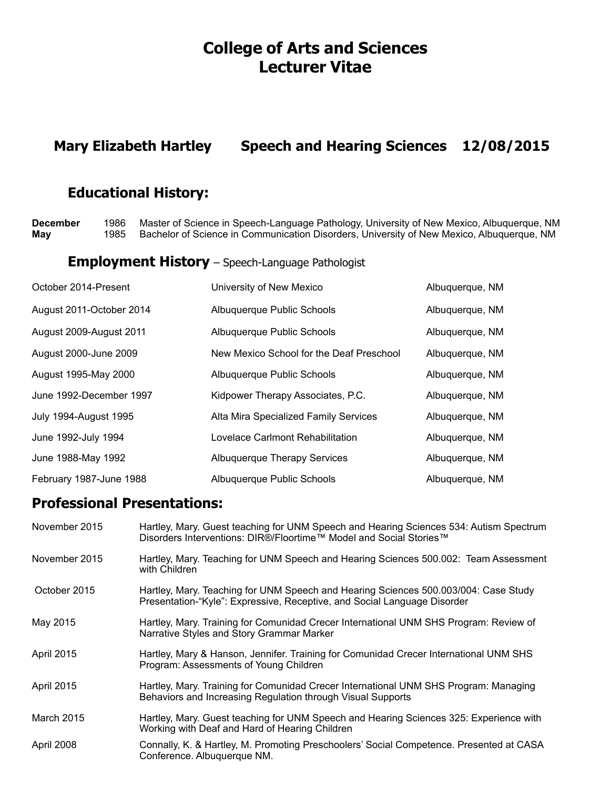# **College of Arts and Sciences Lecturer Vitae**

## **Mary Elizabeth Hartley Speech and Hearing Sciences 12/08/2015**

## **Educational History:**

**December** 1986 Master of Science in Speech-Language Pathology, University of New Mexico, Albuquerque, NM **May** 1985Bachelor of Science in Communication Disorders, University of New Mexico, Albuquerque, NM

#### **Employment History** – Speech-Language Pathologist

| October 2014-Present         | University of New Mexico                 | Albuquerque, NM |
|------------------------------|------------------------------------------|-----------------|
| August 2011-October 2014     | Albuquerque Public Schools               | Albuquerque, NM |
| August 2009-August 2011      | Albuquerque Public Schools               | Albuquerque, NM |
| August 2000-June 2009        | New Mexico School for the Deaf Preschool | Albuquerque, NM |
| August 1995-May 2000         | Albuquerque Public Schools               | Albuquerque, NM |
| June 1992-December 1997      | Kidpower Therapy Associates, P.C.        | Albuquerque, NM |
| <b>July 1994-August 1995</b> | Alta Mira Specialized Family Services    | Albuquerque, NM |
| June 1992-July 1994          | Lovelace Carlmont Rehabilitation         | Albuquerque, NM |
| June 1988-May 1992           | <b>Albuquerque Therapy Services</b>      | Albuquerque, NM |
| February 1987-June 1988      | Albuquerque Public Schools               | Albuquerque, NM |

### **Professional Presentations:**

| November 2015     | Hartley, Mary. Guest teaching for UNM Speech and Hearing Sciences 534: Autism Spectrum<br>Disorders Interventions: DIR®/Floortime™ Model and Social Stories™    |
|-------------------|-----------------------------------------------------------------------------------------------------------------------------------------------------------------|
| November 2015     | Hartley, Mary. Teaching for UNM Speech and Hearing Sciences 500.002: Team Assessment<br>with Children                                                           |
| October 2015      | Hartley, Mary. Teaching for UNM Speech and Hearing Sciences 500.003/004: Case Study<br>Presentation-"Kyle": Expressive, Receptive, and Social Language Disorder |
| May 2015          | Hartley, Mary. Training for Comunidad Crecer International UNM SHS Program: Review of<br>Narrative Styles and Story Grammar Marker                              |
| April 2015        | Hartley, Mary & Hanson, Jennifer. Training for Comunidad Crecer International UNM SHS<br>Program: Assessments of Young Children                                 |
| <b>April 2015</b> | Hartley, Mary. Training for Comunidad Crecer International UNM SHS Program: Managing<br>Behaviors and Increasing Regulation through Visual Supports             |
| <b>March 2015</b> | Hartley, Mary. Guest teaching for UNM Speech and Hearing Sciences 325: Experience with<br>Working with Deaf and Hard of Hearing Children                        |
| April 2008        | Connally, K. & Hartley, M. Promoting Preschoolers' Social Competence. Presented at CASA<br>Conference. Albuquerque NM.                                          |